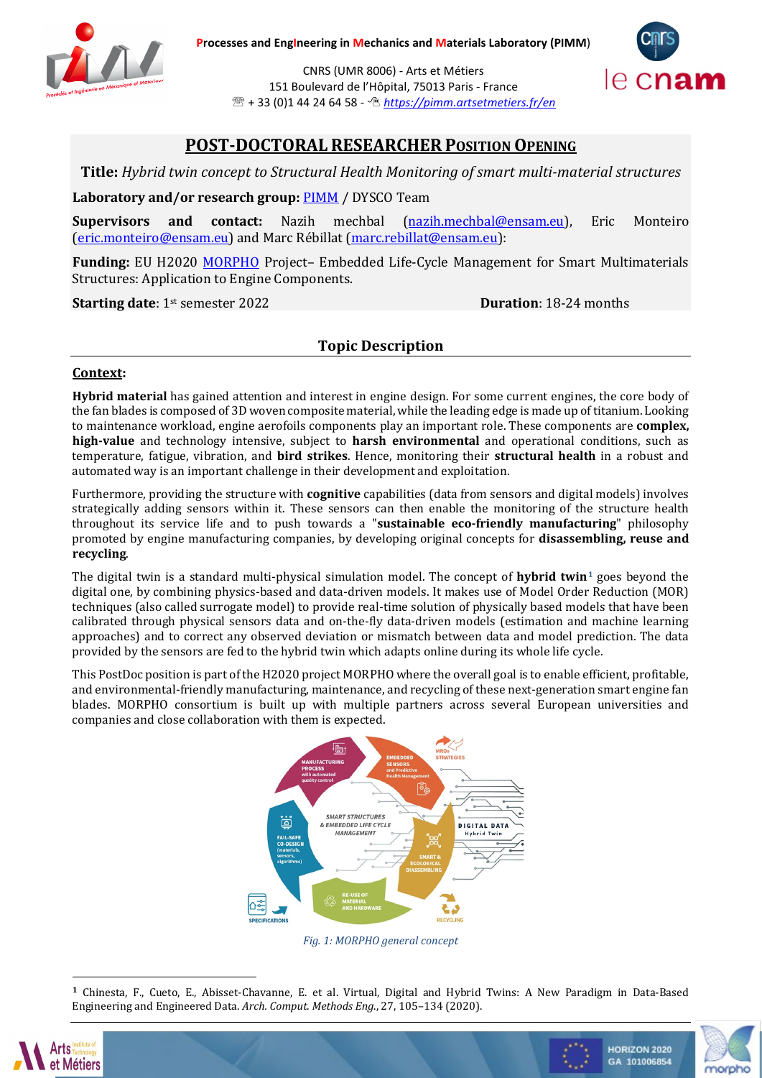

CNRS (UMR 8006) - Arts et Métiers 151 Boulevard de l'Hôpital, 75013 Paris - France + 33 (0)1 44 24 64 58 - *<https://pimm.artsetmetiers.fr/en>*



# **POST-DOCTORAL RESEARCHER POSITION OPENING**

**Title:** *Hybrid twin concept to Structural Health Monitoring of smart multi-material structures*

**Laboratory and/or research group:** [PIMM](https://pimm.artsetmetiers.fr/) / DYSCO Team

**Supervisors and contact:** Nazih mechbal [\(nazih.mechbal@ensam.eu\)](mailto:nazih.mechbal@ensam.eu), Eric Monteiro [\(eric.monteiro@ensam.eu\)](mailto:eric.monteiro@ensam.eu) and Marc Rébillat [\(marc.rebillat@ensam.eu\)](mailto:marc.rebillat@ensam.eu):

**Funding:** EU H2020 [MORPHO](http://morpho-h2020.eu/) Project– Embedded Life-Cycle Management for Smart Multimaterials Structures: Application to Engine Components.

**Starting date**: 1<sup>st</sup> semester 2022 **Duration**: 18-24 months

## **Topic Description**

### **Context:**

**Hybrid material** has gained attention and interest in engine design. For some current engines, the core body of the fan blades is composed of 3D woven composite material, while the leading edge is made up of titanium. Looking to maintenance workload, engine aerofoils components play an important role. These components are **complex, high-value** and technology intensive, subject to **harsh environmental** and operational conditions, such as temperature, fatigue, vibration, and **bird strikes**. Hence, monitoring their **structural health** in a robust and automated way is an important challenge in their development and exploitation.

Furthermore, providing the structure with **cognitive** capabilities (data from sensors and digital models) involves strategically adding sensors within it. These sensors can then enable the monitoring of the structure health throughout its service life and to push towards a "**sustainable eco-friendly manufacturing**" philosophy promoted by engine manufacturing companies, by developing original concepts for **disassembling, reuse and recycling**.

The digital twin is a standard multi-physical simulation model. The concept of **hybrid twin[1](#page-0-0)** goes beyond the digital one, by combining physics-based and data-driven models. It makes use of Model Order Reduction (MOR) techniques (also called surrogate model) to provide real-time solution of physically based models that have been calibrated through physical sensors data and on-the-fly data-driven models (estimation and machine learning approaches) and to correct any observed deviation or mismatch between data and model prediction. The data provided by the sensors are fed to the hybrid twin which adapts online during its whole life cycle.

This PostDoc position is part of the H2020 project MORPHO where the overall goal is to enable efficient, profitable, and environmental-friendly manufacturing, maintenance, and recycling of these next-generation smart engine fan blades. MORPHO consortium is built up with multiple partners across several European universities and companies and close collaboration with them is expected.



*Fig. 1: MORPHO general concept*

**<sup>1</sup>** Chinesta, F., Cueto, E., Abisset-Chavanne, E. et al. Virtual, Digital and Hybrid Twins: A New Paradigm in Data-Based Engineering and Engineered Data. *Arch. Comput. Methods Eng*., 27, 105–134 (2020).

<span id="page-0-0"></span>